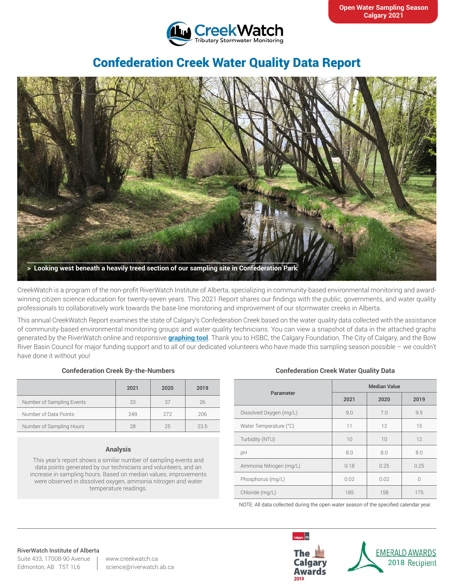

# Confederation Creek Water Quality Data Report



CreekWatch is a program of the non-profit RiverWatch Institute of Alberta, specializing in community-based environmental monitoring and awardwinning citizen science education for twenty-seven years. This 2021 Report shares our findings with the public, governments, and water quality professionals to collaboratively work towards the base-line monitoring and improvement of our stormwater creeks in Alberta.

This annual CreekWatch Report examines the state of Calgary's Confederation Creek based on the water quality data collected with the assistance of community-based environmental monitoring groups and water quality technicians. You can view a snapshot of data in the attached graphs generated by the RiverWatch online and responsive **[graphing tool](http://www.riverwatch.ab.ca/index.php/science/data)**. Thank you to HSBC, the Calgary Foundation, The City of Calgary, and the Bow River Basin Council for major funding support and to all of our dedicated volunteers who have made this sampling season possible – we couldn't have done it without you!

### **Confederation Creek By-the-Numbers**

|                           | 2021 | 2020 | 2019 |
|---------------------------|------|------|------|
| Number of Sampling Events | 33   | 37   | 26   |
| Number of Data Points     | 249  | 272  | 206  |
| Number of Sampling Hours  | 28   | 25   | 23.5 |

#### **Analysis**

This year's report shows a similar number of sampling events and data points generated by our technicians and volunteers, and an increase in sampling hours. Based on median values, improvements were observed in dissolved oxygen, ammonia nitrogen and water temperature readings.

#### **Confederation Creek Water Quality Data**

| Parameter               | <b>Median Value</b> |      |      |
|-------------------------|---------------------|------|------|
|                         | 2021                | 2020 | 2019 |
| Dissolved Oxygen (mg/L) | 9.0                 | 7.0  | 9.5  |
| Water Temperature (°C)  | 11                  | 12   | 15   |
| Turbidity (NTU)         | 10                  | 10   | 12   |
| pH                      | 8.0                 | 8.0  | 8.0  |
| Ammonia Nitrogen (mg/L) | 0.18                | 0.25 | 0.25 |
| Phosphorus (mg/L)       | 0.02                | 0.02 | 0    |
| Chloride (mg/L)         | 185                 | 158  | 175  |

NOTE: All data collected during the open water season of the specified calendar year.

#### RiverWatch Institute of Alberta

Suite 433, 17008-90 Avenue Edmonton, AB T5T 1L6

www.creekwatch.ca science@riverwatch.ab.ca